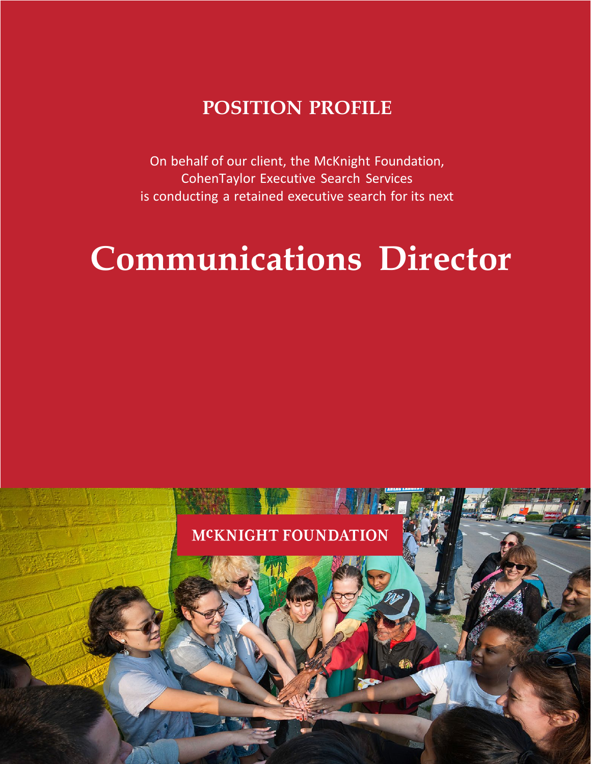# **POSITION PROFILE**

On behalf of our client, the McKnight Foundation, CohenTaylor Executive Search Services is conducting a retained executive search for its next

# **Communications Director**

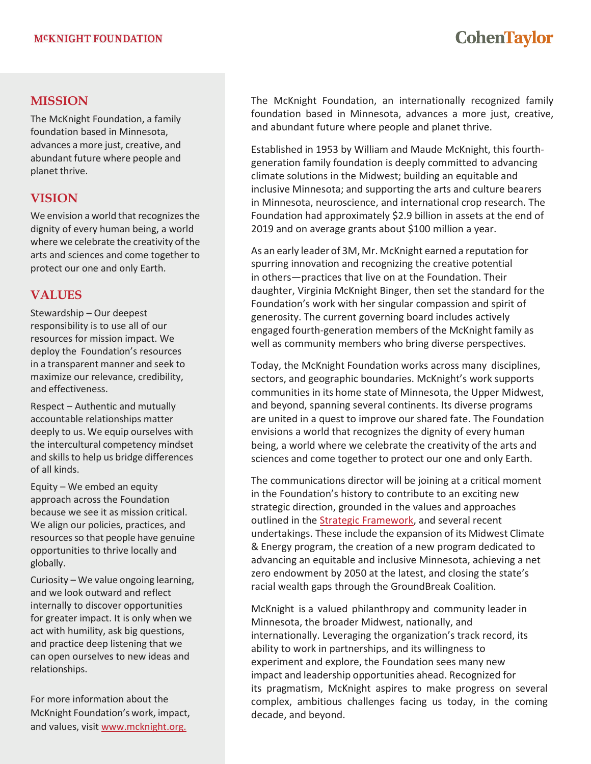# **CohenTaylor**

### **MISSION**

The McKnight Foundation, a family foundation based in Minnesota, advances a more just, creative, and abundant future where people and planet thrive.

## **VISION**

We envision a world that recognizes the dignity of every human being, a world where we celebrate the creativity of the arts and sciences and come together to protect our one and only Earth.

## **VALUES**

Stewardship – Our deepest responsibility is to use all of our resources for mission impact. We deploy the Foundation's resources in a transparent manner and seek to maximize our relevance, credibility, and effectiveness.

Respect – Authentic and mutually accountable relationships matter deeply to us. We equip ourselves with the intercultural competency mindset and skills to help us bridge differences of all kinds.

Equity – We embed an equity approach across the Foundation because we see it as mission critical. We align our policies, practices, and resources so that people have genuine opportunities to thrive locally and globally.

Curiosity – We value ongoing learning, and we look outward and reflect internally to discover opportunities for greater impact. It is only when we act with humility, ask big questions, and practice deep listening that we can open ourselves to new ideas and relationships.

For more information about the McKnight Foundation's work, impact, and values, visit [www.mcknight.org.](http://www.mcknight.org/)

The McKnight Foundation, an internationally recognized family foundation based in Minnesota, advances a more just, creative, and abundant future where people and planet thrive.

Established in 1953 by William and Maude McKnight, this fourthgeneration family foundation is deeply committed to advancing climate solutions in the Midwest; building an equitable and inclusive Minnesota; and supporting the arts and culture bearers in Minnesota, neuroscience, and international crop research. The Foundation had approximately \$2.9 billion in assets at the end of 2019 and on average grants about \$100 million a year.

As an early leader of 3M, Mr. McKnight earned a reputation for spurring innovation and recognizing the creative potential in others—practices that live on at the Foundation. Their daughter, Virginia McKnight Binger, then set the standard for the Foundation's work with her singular compassion and spirit of generosity. The current governing board includes actively engaged fourth-generation members of the McKnight family as well as community members who bring diverse perspectives.

Today, the McKnight Foundation works across many disciplines, sectors, and geographic boundaries. McKnight's work supports communities in its home state of Minnesota, the Upper Midwest, and beyond, spanning several continents. Its diverse programs are united in a quest to improve our shared fate. The Foundation envisions a world that recognizes the dignity of every human being, a world where we celebrate the creativity of the arts and sciences and come together to protect our one and only Earth.

The communications director will be joining at a critical moment in the Foundation's history to contribute to an exciting new strategic direction, grounded in the values and approaches outlined in the [Strategic Framework,](https://www.mcknight.org/wp-content/uploads/01-17-19-2019-2021-mcknight-strategic-framework.pdf) and several recent undertakings. These include the expansion of its Midwest Climate & Energy program, the creation of a new program dedicated to advancing an equitable and inclusive Minnesota, achieving a net zero endowment by 2050 at the latest, and closing the state's racial wealth gaps through the GroundBreak Coalition.

McKnight is a valued philanthropy and community leader in Minnesota, the broader Midwest, nationally, and internationally. Leveraging the organization's track record, its ability to work in partnerships, and its willingness to experiment and explore, the Foundation sees many new impact and leadership opportunities ahead. Recognized for its pragmatism, McKnight aspires to make progress on several complex, ambitious challenges facing us today, in the coming decade, and beyond.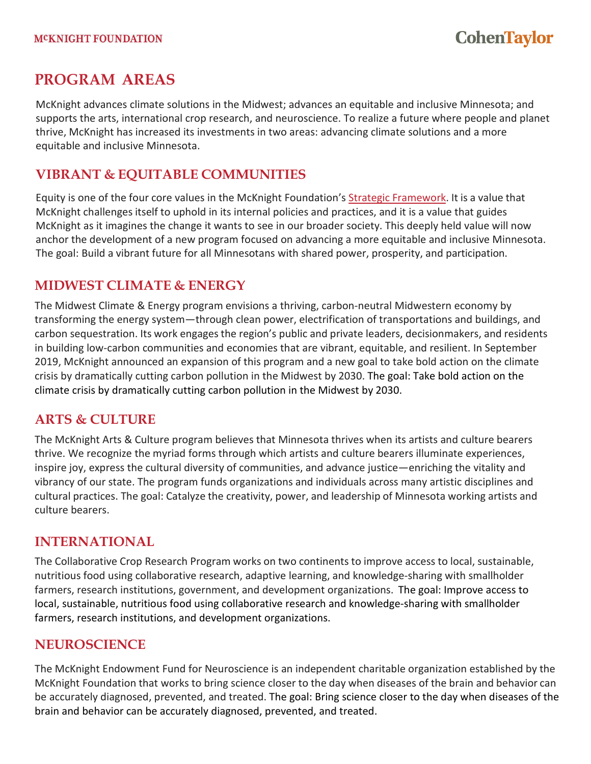# **PROGRAM AREAS**

McKnight advances climate solutions in the Midwest; advances an equitable and inclusive Minnesota; and supports the arts, international crop research, and neuroscience. To realize a future where people and planet thrive, McKnight has increased its investments in two areas: advancing climate solutions and a more equitable and inclusive Minnesota.

## **VIBRANT & EQUITABLE COMMUNITIES**

Equity is one of the four core values in the McKnight Foundation's Strategic [Framework.](https://www.mcknight.org/wp-content/uploads/01-17-19-2019-2021-mcknight-strategic-framework.pdf) It is a value that McKnight challenges itself to uphold in its internal policies and practices, and it is a value that guides McKnight as it imagines the change it wants to see in our broader society. This deeply held value will now anchor the development of a new program focused on advancing a more equitable and inclusive Minnesota. The goal: Build a vibrant future for all Minnesotans with shared power, prosperity, and participation.

## **MIDWEST CLIMATE & ENERGY**

The Midwest Climate & Energy program envisions a thriving, carbon-neutral Midwestern economy by transforming the energy system—through clean power, electrification of transportations and buildings, and carbon sequestration. Its work engagesthe region's public and private leaders, decisionmakers, and residents in building low-carbon communities and economies that are vibrant, equitable, and resilient. In September 2019, McKnight announced an expansion of this program and a new goal to take bold action on the climate crisis by dramatically cutting carbon pollution in the Midwest by 2030. The goal: Take bold action on the climate crisis by dramatically cutting carbon pollution in the Midwest by 2030.

## **ARTS & CULTURE**

The McKnight Arts & Culture program believes that Minnesota thrives when its artists and culture bearers thrive. We recognize the myriad forms through which artists and culture bearers illuminate experiences, inspire joy, express the cultural diversity of communities, and advance justice—enriching the vitality and vibrancy of our state. The program funds organizations and individuals across many artistic disciplines and cultural practices. The goal: Catalyze the creativity, power, and leadership of Minnesota working artists and culture bearers.

## **INTERNATIONAL**

The Collaborative Crop Research Program works on two continents to improve access to local, sustainable, nutritious food using collaborative research, adaptive learning, and knowledge-sharing with smallholder farmers, research institutions, government, and development organizations. The goal: Improve access to local, sustainable, nutritious food using collaborative research and knowledge-sharing with smallholder farmers, research institutions, and development organizations.

## **NEUROSCIENCE**

The McKnight Endowment Fund for Neuroscience is an independent charitable organization established by the McKnight Foundation that works to bring science closer to the day when diseases of the brain and behavior can be accurately diagnosed, prevented, and treated. The goal: Bring science closer to the day when diseases of the brain and behavior can be accurately diagnosed, prevented, and treated.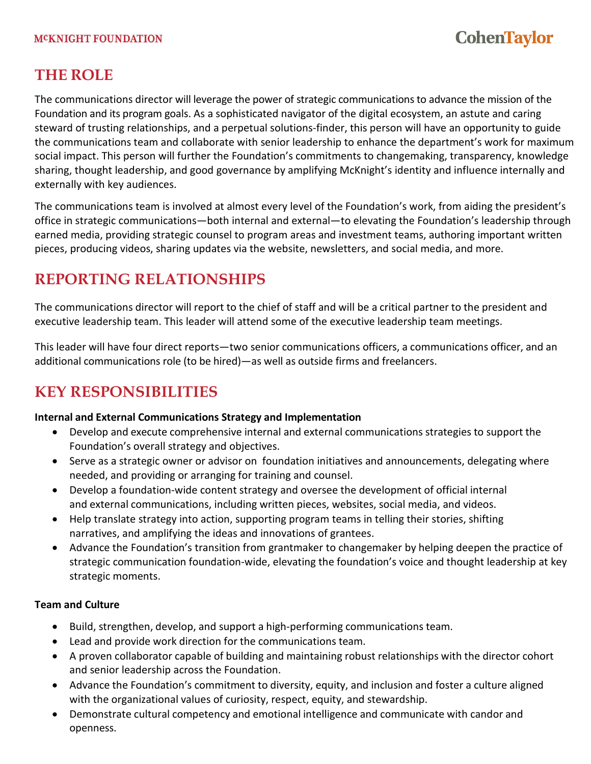#### **MCKNIGHT FOUNDATION**

# **CohenTaylor**

# **THE ROLE**

The communications director will leverage the power of strategic communications to advance the mission of the Foundation and its program goals. As a sophisticated navigator of the digital ecosystem, an astute and caring steward of trusting relationships, and a perpetual solutions-finder, this person will have an opportunity to guide the communications team and collaborate with senior leadership to enhance the department's work for maximum social impact. This person will further the Foundation's commitments to changemaking, transparency, knowledge sharing, thought leadership, and good governance by amplifying McKnight's identity and influence internally and externally with key audiences.

The communications team is involved at almost every level of the Foundation's work, from aiding the president's office in strategic communications—both internal and external—to elevating the Foundation's leadership through earned media, providing strategic counsel to program areas and investment teams, authoring important written pieces, producing videos, sharing updates via the website, newsletters, and social media, and more.

# **REPORTING RELATIONSHIPS**

The communications director will report to the chief of staff and will be a critical partner to the president and executive leadership team. This leader will attend some of the executive leadership team meetings.

This leader will have four direct reports—two senior communications officers, a communications officer, and an additional communications role (to be hired)—as well as outside firms and freelancers.

# **KEY RESPONSIBILITIES**

#### **Internal and External Communications Strategy and Implementation**

- Develop and execute comprehensive internal and external communications strategies to support the Foundation's overall strategy and objectives.
- Serve as a strategic owner or advisor on foundation initiatives and announcements, delegating where needed, and providing or arranging for training and counsel.
- Develop a foundation-wide content strategy and oversee the development of official internal and external communications, including written pieces, websites, social media, and videos.
- Help translate strategy into action, supporting program teams in telling their stories, shifting narratives, and amplifying the ideas and innovations of grantees.
- Advance the Foundation's transition from grantmaker to changemaker by helping deepen the practice of strategic communication foundation-wide, elevating the foundation's voice and thought leadership at key strategic moments.

#### **Team and Culture**

- Build, strengthen, develop, and support a high-performing communications team.
- Lead and provide work direction for the communications team.
- A proven collaborator capable of building and maintaining robust relationships with the director cohort and senior leadership across the Foundation.
- Advance the Foundation's commitment to diversity, equity, and inclusion and foster a culture aligned with the organizational values of curiosity, respect, equity, and stewardship.
- Demonstrate cultural competency and emotional intelligence and communicate with candor and openness.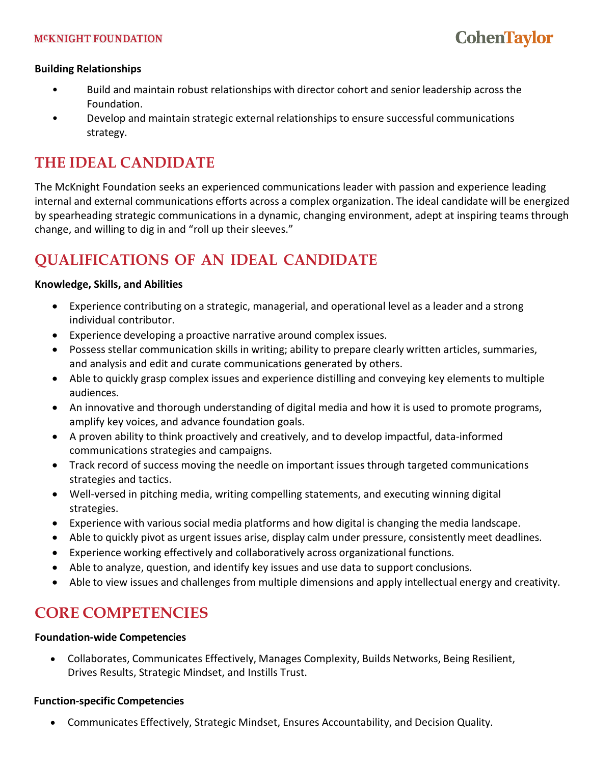#### **Building Relationships**

- Build and maintain robust relationships with director cohort and senior leadership across the Foundation.
- Develop and maintain strategic external relationships to ensure successful communications strategy.

# **THE IDEAL CANDIDATE**

The McKnight Foundation seeks an experienced communications leader with passion and experience leading internal and external communications efforts across a complex organization. The ideal candidate will be energized by spearheading strategic communications in a dynamic, changing environment, adept at inspiring teams through change, and willing to dig in and "roll up their sleeves."

# **QUALIFICATIONS OF AN IDEAL CANDIDATE**

#### **Knowledge, Skills, and Abilities**

- Experience contributing on a strategic, managerial, and operational level as a leader and a strong individual contributor.
- Experience developing a proactive narrative around complex issues.
- Possess stellar communication skills in writing; ability to prepare clearly written articles, summaries, and analysis and edit and curate communications generated by others.
- Able to quickly grasp complex issues and experience distilling and conveying key elements to multiple audiences.
- An innovative and thorough understanding of digital media and how it is used to promote programs, amplify key voices, and advance foundation goals.
- A proven ability to think proactively and creatively, and to develop impactful, data-informed communications strategies and campaigns.
- Track record of success moving the needle on important issues through targeted communications strategies and tactics.
- Well-versed in pitching media, writing compelling statements, and executing winning digital strategies.
- Experience with various social media platforms and how digital is changing the media landscape.
- Able to quickly pivot as urgent issues arise, display calm under pressure, consistently meet deadlines.
- Experience working effectively and collaboratively across organizational functions.
- Able to analyze, question, and identify key issues and use data to support conclusions.
- Able to view issues and challenges from multiple dimensions and apply intellectual energy and creativity.

## **CORE COMPETENCIES**

#### **Foundation-wide Competencies**

• Collaborates, Communicates Effectively, Manages Complexity, Builds Networks, Being Resilient, Drives Results, Strategic Mindset, and Instills Trust.

#### **Function-specific Competencies**

• Communicates Effectively, Strategic Mindset, Ensures Accountability, and Decision Quality.